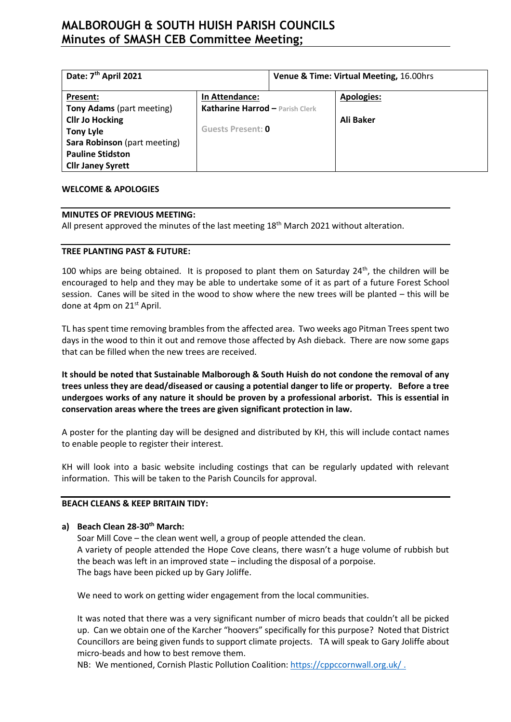# **MALBOROUGH & SOUTH HUISH PARISH COUNCILS Minutes of SMASH CEB Committee Meeting;**

| Date: 7 <sup>th</sup> April 2021 |                                        | Venue & Time: Virtual Meeting, 16.00hrs |                   |
|----------------------------------|----------------------------------------|-----------------------------------------|-------------------|
| Present:                         | In Attendance:                         |                                         | <b>Apologies:</b> |
| <b>Tony Adams</b> (part meeting) | <b>Katharine Harrod - Parish Clerk</b> |                                         |                   |
| <b>Cllr Jo Hocking</b>           |                                        |                                         | Ali Baker         |
| <b>Tony Lyle</b>                 | Guests Present: 0                      |                                         |                   |
| Sara Robinson (part meeting)     |                                        |                                         |                   |
| <b>Pauline Stidston</b>          |                                        |                                         |                   |
| <b>Cllr Janey Syrett</b>         |                                        |                                         |                   |

#### **WELCOME & APOLOGIES**

#### **MINUTES OF PREVIOUS MEETING:**

All present approved the minutes of the last meeting  $18<sup>th</sup>$  March 2021 without alteration.

### **TREE PLANTING PAST & FUTURE:**

100 whips are being obtained. It is proposed to plant them on Saturday  $24<sup>th</sup>$ , the children will be encouraged to help and they may be able to undertake some of it as part of a future Forest School session. Canes will be sited in the wood to show where the new trees will be planted – this will be done at 4pm on 21<sup>st</sup> April.

TL has spent time removing brambles from the affected area. Two weeks ago Pitman Trees spent two days in the wood to thin it out and remove those affected by Ash dieback. There are now some gaps that can be filled when the new trees are received.

**It should be noted that Sustainable Malborough & South Huish do not condone the removal of any trees unless they are dead/diseased or causing a potential danger to life or property. Before a tree undergoes works of any nature it should be proven by a professional arborist. This is essential in conservation areas where the trees are given significant protection in law.** 

A poster for the planting day will be designed and distributed by KH, this will include contact names to enable people to register their interest.

KH will look into a basic website including costings that can be regularly updated with relevant information. This will be taken to the Parish Councils for approval.

### **BEACH CLEANS & KEEP BRITAIN TIDY:**

### **a) Beach Clean 28-30th March:**

Soar Mill Cove – the clean went well, a group of people attended the clean. A variety of people attended the Hope Cove cleans, there wasn't a huge volume of rubbish but the beach was left in an improved state – including the disposal of a porpoise. The bags have been picked up by Gary Joliffe.

We need to work on getting wider engagement from the local communities.

It was noted that there was a very significant number of micro beads that couldn't all be picked up. Can we obtain one of the Karcher "hoovers" specifically for this purpose? Noted that District Councillors are being given funds to support climate projects. TA will speak to Gary Joliffe about micro-beads and how to best remove them.

NB: We mentioned, Cornish Plastic Pollution Coalition: [https://cppccornwall.org.uk/ .](https://cppccornwall.org.uk/%20.)